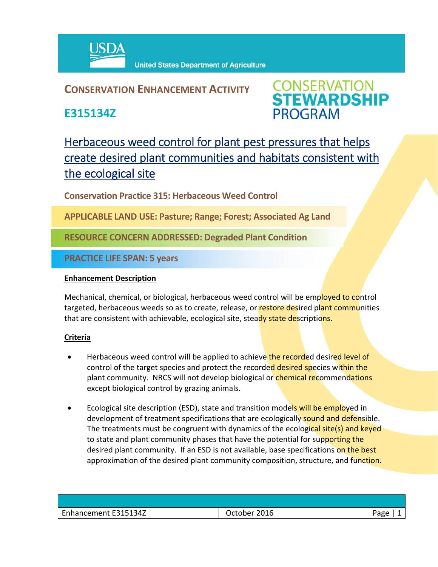

## **CONSERVATION ENHANCEMENT ACTIVITY**

**E315134Z**



# Herbaceous weed control for plant pest pressures that helps create desired plant communities and habitats consistent with the ecological site

**Conservation Practice 315: Herbaceous Weed Control** 

**APPLICABLE LAND USE: Pasture; Range; Forest; Associated Ag Land**

**RESOURCE CONCERN ADDRESSED: Degraded Plant Condition**

**PRACTICE LIFE SPAN: 5 years**

#### **Enhancement Description**

Mechanical, chemical, or biological, herbaceous weed control will be employed to control targeted, herbaceous weeds so as to create, release, or restore desired plant communities that are consistent with achievable, ecological site, steady state descriptions.

#### **Criteria**

- Herbaceous weed control will be applied to achieve the recorded desired level of control of the target species and protect the recorded desired species within the plant community. NRCS will not develop biological or *chemical recommendations* except biological control by grazing animals.
- Ecological site description (ESD), state and transition models will be employed in development of treatment specifications that are ecologically sound and defensible. The treatments must be congruent with dynamics of the ecological site(s) and keyed to state and plant community phases that have the potential for supporting the desired plant community. If an ESD is not available, base specifications on the best approximation of the desired plant community composition, structure, and function.

| Enhancement E315134Z | October 2016 | Page |
|----------------------|--------------|------|
|                      |              |      |